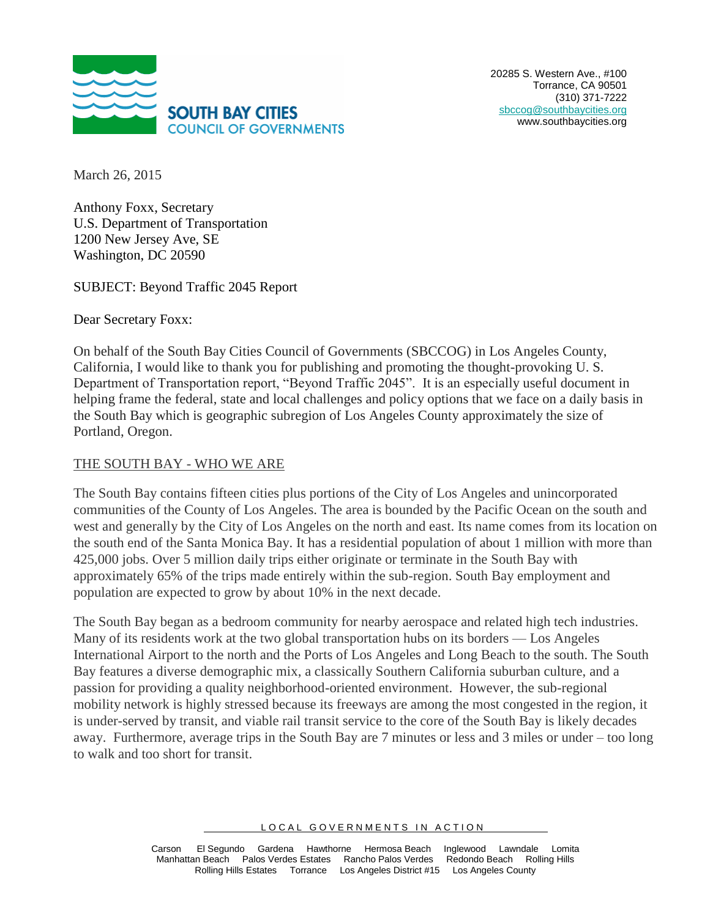

March 26, 2015

Anthony Foxx, Secretary U.S. Department of Transportation 1200 New Jersey Ave, SE Washington, DC 20590

SUBJECT: Beyond Traffic 2045 Report

Dear Secretary Foxx:

On behalf of the South Bay Cities Council of Governments (SBCCOG) in Los Angeles County, California, I would like to thank you for publishing and promoting the thought-provoking U. S. Department of Transportation report, "Beyond Traffic 2045". It is an especially useful document in helping frame the federal, state and local challenges and policy options that we face on a daily basis in the South Bay which is geographic subregion of Los Angeles County approximately the size of Portland, Oregon.

## THE SOUTH BAY - WHO WE ARE

The South Bay contains fifteen cities plus portions of the City of Los Angeles and unincorporated communities of the County of Los Angeles. The area is bounded by the Pacific Ocean on the south and west and generally by the City of Los Angeles on the north and east. Its name comes from its location on the south end of the Santa Monica Bay. It has a residential population of about 1 million with more than 425,000 jobs. Over 5 million daily trips either originate or terminate in the South Bay with approximately 65% of the trips made entirely within the sub-region. South Bay employment and population are expected to grow by about 10% in the next decade.

The South Bay began as a bedroom community for nearby aerospace and related high tech industries. Many of its residents work at the two global transportation hubs on its borders — Los Angeles International Airport to the north and the Ports of Los Angeles and Long Beach to the south. The South Bay features a diverse demographic mix, a classically Southern California suburban culture, and a passion for providing a quality neighborhood-oriented environment. However, the sub-regional mobility network is highly stressed because its freeways are among the most congested in the region, it is under-served by transit, and viable rail transit service to the core of the South Bay is likely decades away. Furthermore, average trips in the South Bay are 7 minutes or less and 3 miles or under – too long to walk and too short for transit.

LOCAL GOVERNMENTS IN ACTION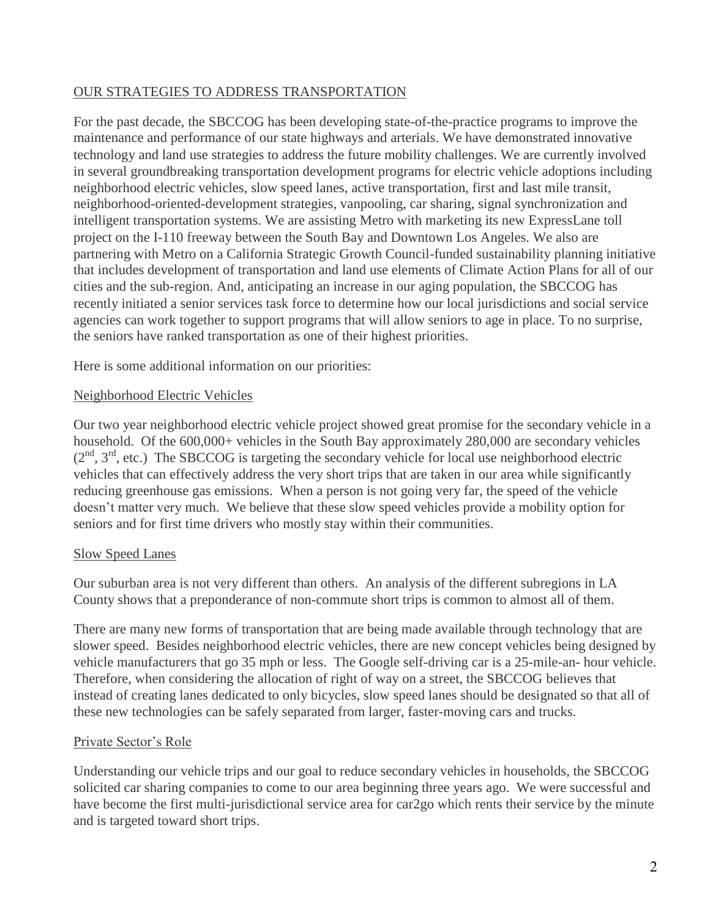## OUR STRATEGIES TO ADDRESS TRANSPORTATION

For the past decade, the SBCCOG has been developing state-of-the-practice programs to improve the maintenance and performance of our state highways and arterials. We have demonstrated innovative technology and land use strategies to address the future mobility challenges. We are currently involved in several groundbreaking transportation development programs for electric vehicle adoptions including neighborhood electric vehicles, slow speed lanes, active transportation, first and last mile transit, neighborhood-oriented-development strategies, vanpooling, car sharing, signal synchronization and intelligent transportation systems. We are assisting Metro with marketing its new ExpressLane toll project on the I-110 freeway between the South Bay and Downtown Los Angeles. We also are partnering with Metro on a California Strategic Growth Council-funded sustainability planning initiative that includes development of transportation and land use elements of Climate Action Plans for all of our cities and the sub-region. And, anticipating an increase in our aging population, the SBCCOG has recently initiated a senior services task force to determine how our local jurisdictions and social service agencies can work together to support programs that will allow seniors to age in place. To no surprise, the seniors have ranked transportation as one of their highest priorities.

Here is some additional information on our priorities:

# Neighborhood Electric Vehicles

Our two year neighborhood electric vehicle project showed great promise for the secondary vehicle in a household. Of the 600,000+ vehicles in the South Bay approximately 280,000 are secondary vehicles  $(2<sup>nd</sup>, 3<sup>rd</sup>, etc.)$  The SBCCOG is targeting the secondary vehicle for local use neighborhood electric vehicles that can effectively address the very short trips that are taken in our area while significantly reducing greenhouse gas emissions. When a person is not going very far, the speed of the vehicle doesn't matter very much. We believe that these slow speed vehicles provide a mobility option for seniors and for first time drivers who mostly stay within their communities.

#### Slow Speed Lanes

Our suburban area is not very different than others. An analysis of the different subregions in LA County shows that a preponderance of non-commute short trips is common to almost all of them.

There are many new forms of transportation that are being made available through technology that are slower speed. Besides neighborhood electric vehicles, there are new concept vehicles being designed by vehicle manufacturers that go 35 mph or less. The Google self-driving car is a 25-mile-an- hour vehicle. Therefore, when considering the allocation of right of way on a street, the SBCCOG believes that instead of creating lanes dedicated to only bicycles, slow speed lanes should be designated so that all of these new technologies can be safely separated from larger, faster-moving cars and trucks.

# Private Sector's Role

Understanding our vehicle trips and our goal to reduce secondary vehicles in households, the SBCCOG solicited car sharing companies to come to our area beginning three years ago. We were successful and have become the first multi-jurisdictional service area for car2go which rents their service by the minute and is targeted toward short trips.